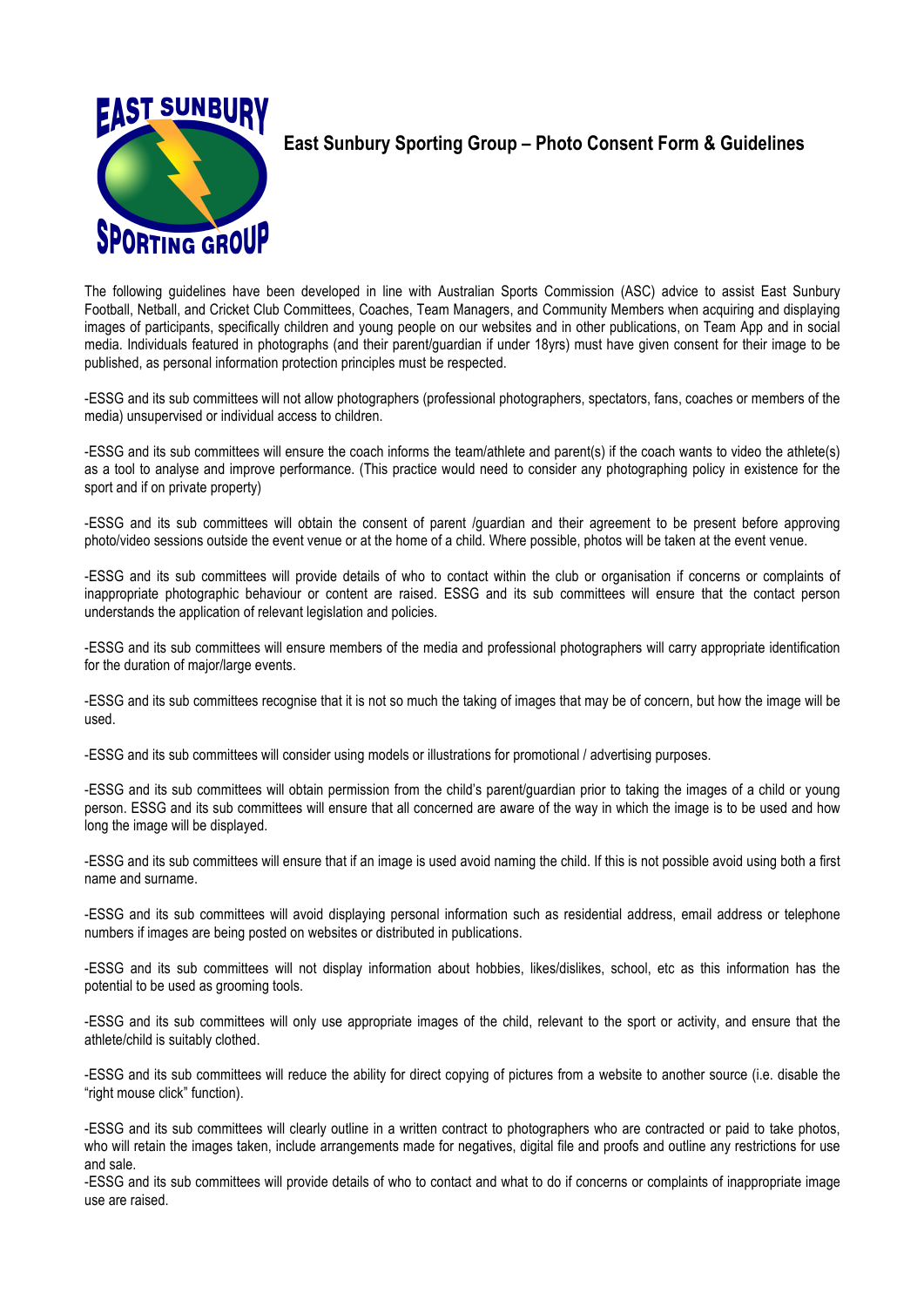

## **East Sunbury Sporting Group – Photo Consent Form & Guidelines**

The following guidelines have been developed in line with Australian Sports Commission (ASC) advice to assist East Sunbury Football, Netball, and Cricket Club Committees, Coaches, Team Managers, and Community Members when acquiring and displaying images of participants, specifically children and young people on our websites and in other publications, on Team App and in social media. Individuals featured in photographs (and their parent/guardian if under 18yrs) must have given consent for their image to be published, as personal information protection principles must be respected.

-ESSG and its sub committees will not allow photographers (professional photographers, spectators, fans, coaches or members of the media) unsupervised or individual access to children.

-ESSG and its sub committees will ensure the coach informs the team/athlete and parent(s) if the coach wants to video the athlete(s) as a tool to analyse and improve performance. (This practice would need to consider any photographing policy in existence for the sport and if on private property)

-ESSG and its sub committees will obtain the consent of parent /guardian and their agreement to be present before approving photo/video sessions outside the event venue or at the home of a child. Where possible, photos will be taken at the event venue.

-ESSG and its sub committees will provide details of who to contact within the club or organisation if concerns or complaints of inappropriate photographic behaviour or content are raised. ESSG and its sub committees will ensure that the contact person understands the application of relevant legislation and policies.

-ESSG and its sub committees will ensure members of the media and professional photographers will carry appropriate identification for the duration of major/large events.

-ESSG and its sub committees recognise that it is not so much the taking of images that may be of concern, but how the image will be used.

-ESSG and its sub committees will consider using models or illustrations for promotional / advertising purposes.

-ESSG and its sub committees will obtain permission from the child's parent/guardian prior to taking the images of a child or young person. ESSG and its sub committees will ensure that all concerned are aware of the way in which the image is to be used and how long the image will be displayed.

-ESSG and its sub committees will ensure that if an image is used avoid naming the child. If this is not possible avoid using both a first name and surname.

-ESSG and its sub committees will avoid displaying personal information such as residential address, email address or telephone numbers if images are being posted on websites or distributed in publications.

-ESSG and its sub committees will not display information about hobbies, likes/dislikes, school, etc as this information has the potential to be used as grooming tools.

-ESSG and its sub committees will only use appropriate images of the child, relevant to the sport or activity, and ensure that the athlete/child is suitably clothed.

-ESSG and its sub committees will reduce the ability for direct copying of pictures from a website to another source (i.e. disable the "right mouse click" function).

-ESSG and its sub committees will clearly outline in a written contract to photographers who are contracted or paid to take photos, who will retain the images taken, include arrangements made for negatives, digital file and proofs and outline any restrictions for use and sale.

-ESSG and its sub committees will provide details of who to contact and what to do if concerns or complaints of inappropriate image use are raised.